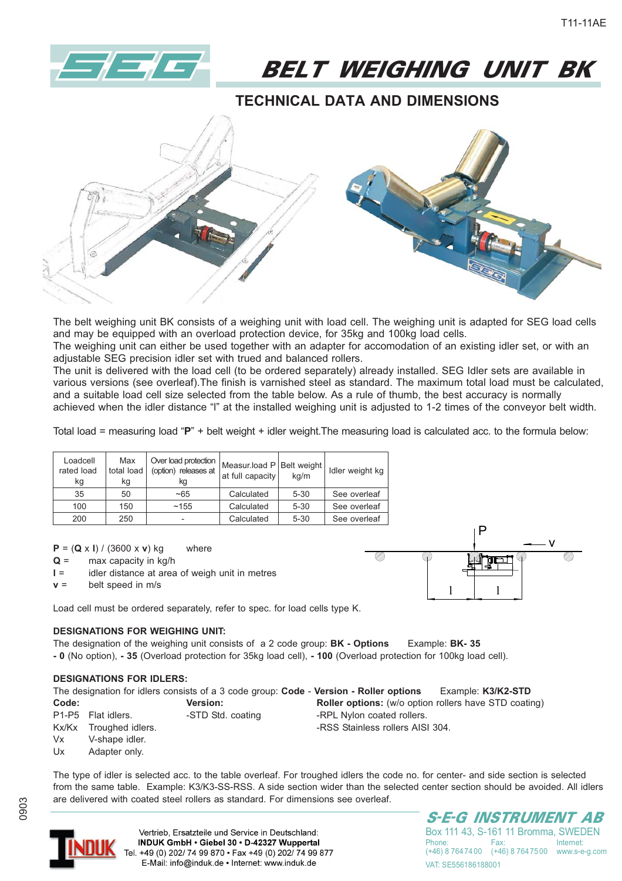

BELT WEIGHING UNIT BK

## **TECHNICAL DATA AND DIMENSIONS**



The belt weighing unit BK consists of a weighing unit with load cell. The weighing unit is adapted for SEG load cells and may be equipped with an overload protection device, for 35kg and 100kg load cells.

The weighing unit can either be used together with an adapter for accomodation of an existing idler set, or with an adjustable SEG precision idler set with trued and balanced rollers.

The unit is delivered with the load cell (to be ordered separately) already installed. SEG Idler sets are available in various versions (see overleaf).The finish is varnished steel as standard. The maximum total load must be calculated, and a suitable load cell size selected from the table below. As a rule of thumb, the best accuracy is normally achieved when the idler distance "l" at the installed weighing unit is adjusted to 1-2 times of the conveyor belt width.

Total load = measuring load "**P**" + belt weight + idler weight.The measuring load is calculated acc. to the formula below:

| Loadcell<br>rated load<br>kg | Max<br>total load<br>kg | Over load protection<br>(option) releases at<br>κg | Measur.load P Belt weight<br>at full capacity | ka/m     | Idler weight kg |  |
|------------------------------|-------------------------|----------------------------------------------------|-----------------------------------------------|----------|-----------------|--|
| 35                           | 50                      | $-65$                                              | Calculated                                    | $5 - 30$ | See overleaf    |  |
| 100                          | 150                     | ~155                                               | Calculated                                    | $5 - 30$ | See overleaf    |  |
| 200                          | 250                     | -                                                  | Calculated                                    | $5 - 30$ | See overleaf    |  |

**P** = (**Q** x **l**) / (3600 x **v**) kg where

- **Q** = max capacity in kg/h
- **l** = idler distance at area of weigh unit in metres
- $v =$  belt speed in m/s

Load cell must be ordered separately, refer to spec. for load cells type K.

#### **DESIGNATIONS FOR WEIGHING UNIT:**

The designation of the weighing unit consists of a 2 code group: **BK - Options** Example: **BK- 35 - 0** (No option), **- 35** (Overload protection for 35kg load cell), **- 100** (Overload protection for 100kg load cell).

#### **DESIGNATIONS FOR IDLERS:**

| The designation for idlers consists of a 3 code group: Code - Version - Roller options<br>Example: K3/K2-STD |                        |                   |                                                              |  |  |  |  |
|--------------------------------------------------------------------------------------------------------------|------------------------|-------------------|--------------------------------------------------------------|--|--|--|--|
| Code:                                                                                                        |                        | Version:          | <b>Roller options:</b> (w/o option rollers have STD coating) |  |  |  |  |
|                                                                                                              | P1-P5 Flat idlers.     | -STD Std. coating | -RPL Nylon coated rollers.                                   |  |  |  |  |
|                                                                                                              | Kx/Kx Troughed idlers. |                   | -RSS Stainless rollers AISI 304.                             |  |  |  |  |
| Vx                                                                                                           | V-shape idler.         |                   |                                                              |  |  |  |  |
| Ux                                                                                                           | Adapter only.          |                   |                                                              |  |  |  |  |

The type of idler is selected acc. to the table overleaf. For troughed idlers the code no. for center- and side section is selected from the same table. Example: K3/K3-SS-RSS. A side section wider than the selected center section should be avoided. All idlers are delivered with coated steel rollers as standard. For dimensions see overleaf.



0903

Vertrieb. Ersatzteile und Service in Deutschland: INDUK GmbH . Giebel 30 . D-42327 Wuppertal Tel. +49 (0) 202/ 74 99 870 · Fax +49 (0) 202/ 74 99 877 E-Mail: info@induk.de · Internet: www.induk.de

S-E-G INSTRUMENT AB Box 111 43, S-161 11 Bromma, SWEDEN Phone: Fax: Internet:<br>(+46) 8 764 74 00 (+46) 8 764 75 00 www.s-e (+46) 8 764 75 00 www.s-e-g.com

VAT: SE556186188001